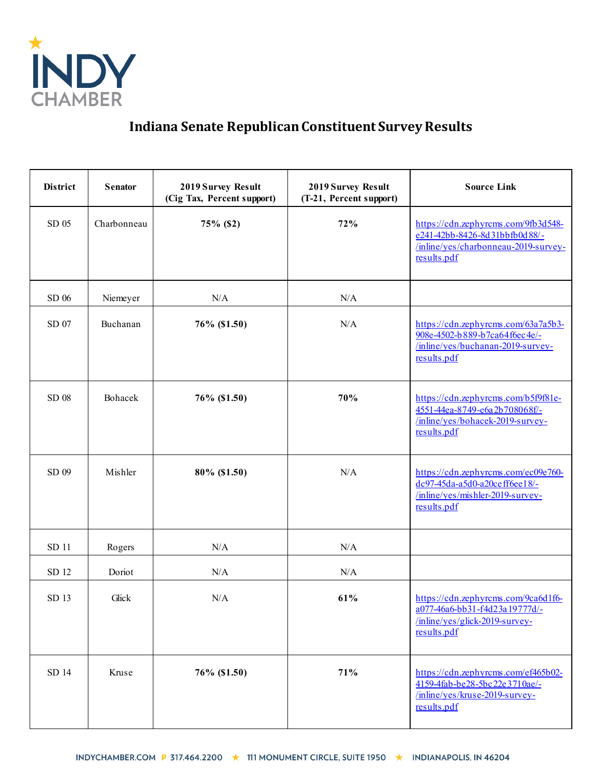

## **Indiana Senate Republican Constituent Survey Results**

| District | <b>Senator</b> | 2019 Survey Result<br>(Cig Tax, Percent support) | 2019 Survey Result<br>(T-21, Percent support) | <b>Source Link</b>                                                                                                          |
|----------|----------------|--------------------------------------------------|-----------------------------------------------|-----------------------------------------------------------------------------------------------------------------------------|
| SD 05    | Charbonneau    | 75% (\$2)                                        | 72%                                           | https://cdn.zephyrcms.com/9fb3d548-<br>e241-42bb-8426-8d31bbfb0d88/-<br>/inline/yes/charbonneau-2019-survey-<br>results.pdf |
| SD 06    | Niemeyer       | N/A                                              | N/A                                           |                                                                                                                             |
| SD 07    | Buchanan       | 76% (\$1.50)                                     | N/A                                           | https://cdn.zephyrcms.com/63a7a5b3-<br>908e-4502-b889-b7ca64f6ec4e/-<br>/inline/yes/buchanan-2019-survey-<br>results.pdf    |
| SD 08    | Bohacek        | 76% (\$1.50)                                     | 70%                                           | https://cdn.zephyrcms.com/b5f9f81e-<br>4551-44ea-8749-e6a2b708068f/-<br>/inline/yes/bohacek-2019-survey-<br>results.pdf     |
| SD 09    | Mishler        | 80% (\$1.50)                                     | N/A                                           | https://cdn.zephyrcms.com/ec09e760-<br>dc97-45da-a5d0-a20ceff6ee18/-<br>/inline/yes/mishler-2019-survey-<br>results.pdf     |
| SD 11    | Rogers         | N/A                                              | N/A                                           |                                                                                                                             |
| SD 12    | Doriot         | N/A                                              | N/A                                           |                                                                                                                             |
| SD 13    | Glick          | N/A                                              | 61%                                           | https://cdn.zephyrcms.com/9ca6d1f6-<br>a077-46a6-bb31-f4d23a19777d/-<br>$/$ inline/yes/glick-2019-survey-<br>results.pdf    |
| SD 14    | Kruse          | 76% (\$1.50)                                     | 71%                                           | https://cdn.zephyrcms.com/ef465b02-<br>4159-4fab-be28-5bc22e3710ae/-<br>/inline/yes/kruse-2019-survey-<br>results.pdf       |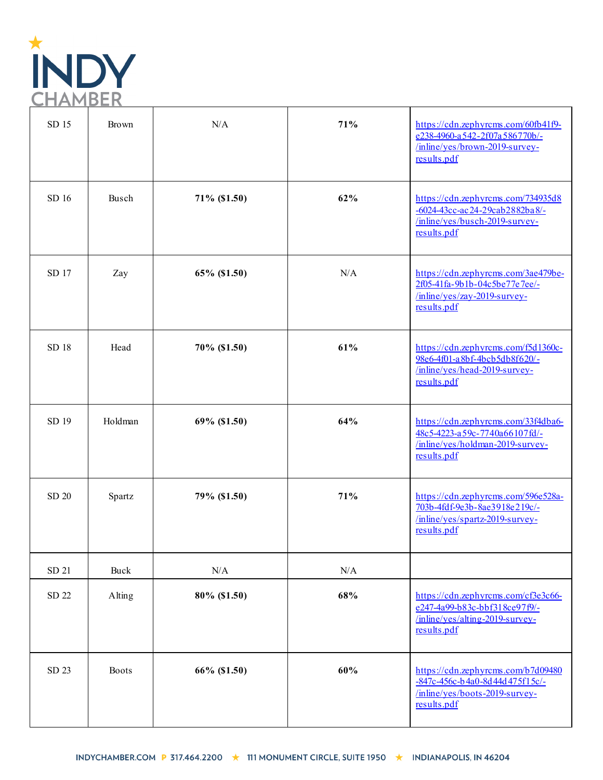

| SD 15 | <b>Brown</b> | N/A          | 71% | https://cdn.zephyrcms.com/60fb41f9-<br>e238-4960-a542-2f07a586770b/-<br>/inline/yes/brown-2019-survey-<br>results.pdf     |
|-------|--------------|--------------|-----|---------------------------------------------------------------------------------------------------------------------------|
| SD 16 | Busch        | 71% (\$1.50) | 62% | https://cdn.zephyrcms.com/734935d8<br>-6024-43cc-ac24-29cab2882ba8/-<br>/inline/yes/busch-2019-survey-<br>results.pdf     |
| SD 17 | Zay          | 65% (\$1.50) | N/A | https://cdn.zephyrcms.com/3ae479be-<br>2f05-41fa-9b1b-04c5be77e7ee/-<br>/inline/yes/zay-2019-survey-<br>results.pdf       |
| SD 18 | Head         | 70% (\$1.50) | 61% | https://cdn.zephyrcms.com/f5d1360c-<br>98e6-4f01-a8bf-4bcb5db8f620/-<br>/inline/yes/head-2019-survey-<br>results.pdf      |
| SD 19 | Holdman      | 69% (\$1.50) | 64% | https://cdn.zephyrcms.com/33f4dba6-<br>48c5-4223-a59c-7740a66107fd/-<br>/inline/yes/holdman-2019-survey-<br>results.pdf   |
| SD 20 | Spartz       | 79% (\$1.50) | 71% | https://cdn.zephyrcms.com/596e528a-<br>703b-4fdf-9e3b-8ae3918e219c/-<br>/inline/yes/spartz-2019-survey-<br>results.pdf    |
| SD 21 | Buck         | $\rm N/A$    | N/A |                                                                                                                           |
| SD 22 | Alting       | 80% (\$1.50) | 68% | https://cdn.zephyrcms.com/cf3e3c66-<br>e247-4a99-b83c-bbf318ce97f9/-<br>$/$ inline/yes/alting-2019-survey-<br>results.pdf |
| SD 23 | <b>Boots</b> | 66% (\$1.50) | 60% | https://cdn.zephyrcms.com/b7d09480<br>-847c-456c-b4a0-8d44d475f15c/-<br>/inline/yes/boots-2019-survey-<br>results.pdf     |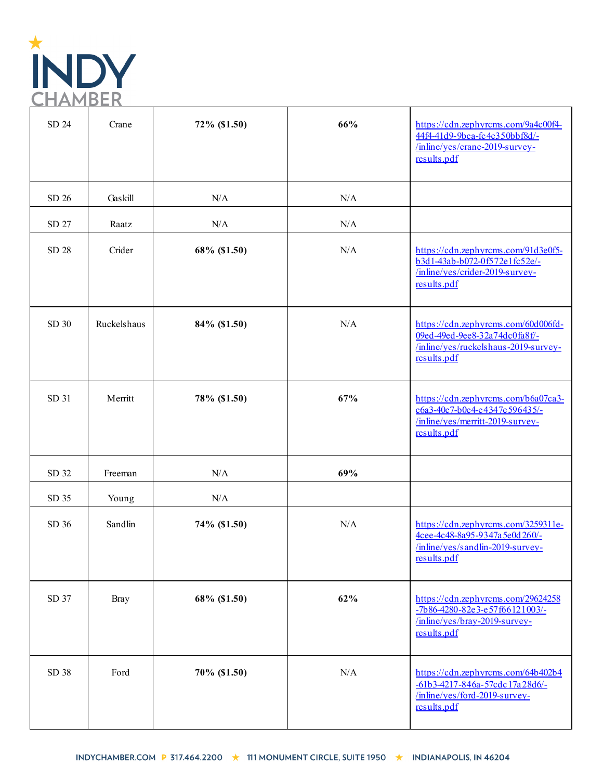

| SD 24 | Crane       | 72% (\$1.50) | 66% | https://cdn.zephyrcms.com/9a4c00f4-<br>44f4-41d9-9bca-fc4e350bbf8d/-<br>/inline/yes/crane-2019-survey-<br>results.pdf       |
|-------|-------------|--------------|-----|-----------------------------------------------------------------------------------------------------------------------------|
| SD 26 | Gaskill     | N/A          | N/A |                                                                                                                             |
| SD 27 | Raatz       | N/A          | N/A |                                                                                                                             |
| SD 28 | Crider      | 68% (\$1.50) | N/A | https://cdn.zephyrcms.com/91d3e0f5-<br>b3d1-43ab-b072-0f572e1fc52e/-<br>/inline/yes/crider-2019-survey-<br>results.pdf      |
| SD 30 | Ruckelshaus | 84% (\$1.50) | N/A | https://cdn.zephyrcms.com/60d006fd-<br>09ed-49ed-9ee8-32a74dc0fa8f/-<br>/inline/yes/ruckelshaus-2019-survey-<br>results.pdf |
| SD 31 | Merritt     | 78% (\$1.50) | 67% | https://cdn.zephyrcms.com/b6a07ca3-<br>c6a3-40c7-b0e4-e4347e596435/-<br>/inline/yes/merritt-2019-survey-<br>results.pdf     |
| SD 32 | Freeman     | N/A          | 69% |                                                                                                                             |
| SD 35 | Young       | N/A          |     |                                                                                                                             |
| SD 36 | Sandlin     | 74% (\$1.50) | N/A | https://cdn.zephyrcms.com/3259311e-<br>4cee-4c48-8a95-9347a5e0d260/-<br>/inline/yes/sandlin-2019-survey-<br>results.pdf     |
| SD 37 | <b>Bray</b> | 68% (\$1.50) | 62% | https://cdn.zephyrcms.com/29624258<br>-7b86-4280-82e3-e57f66121003/-<br>/inline/yes/bray-2019-survey-<br>results.pdf        |
| SD 38 | Ford        | 70% (\$1.50) | N/A | https://cdn.zephyrcms.com/64b402b4<br>-61b3-4217-846a-57cdc17a28d6/-<br>/inline/yes/ford-2019-survey-<br>results.pdf        |